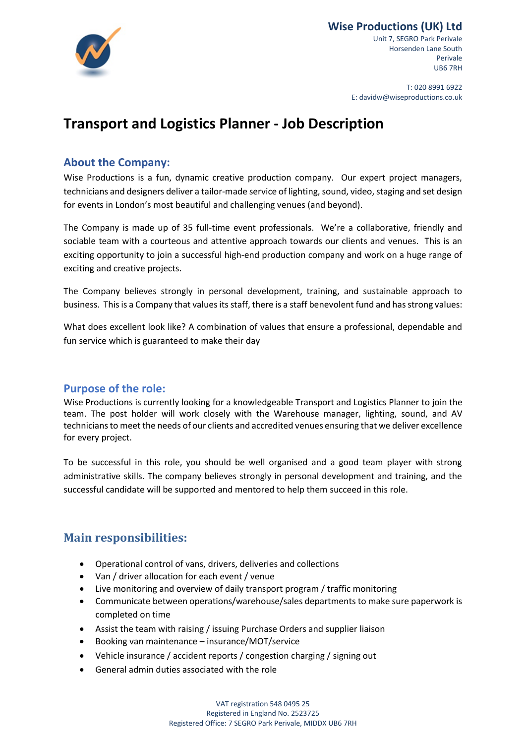

## **Wise Productions (UK) Ltd**

Unit 7, SEGRO Park Perivale Horsenden Lane South Perivale UB6 7RH

T: 020 8991 6922 E: davidw@wiseproductions.co.uk

# **Transport and Logistics Planner - Job Description**

## **About the Company:**

Wise Productions is a fun, dynamic creative production company. Our expert project managers, technicians and designers deliver a tailor-made service of lighting, sound, video, staging and set design for events in London's most beautiful and challenging venues (and beyond).

The Company is made up of 35 full-time event professionals. We're a collaborative, friendly and sociable team with a courteous and attentive approach towards our clients and venues. This is an exciting opportunity to join a successful high-end production company and work on a huge range of exciting and creative projects.

The Company believes strongly in personal development, training, and sustainable approach to business. This is a Company that values its staff, there is a staff benevolent fund and has strong values:

What does excellent look like? A combination of values that ensure a professional, dependable and fun service which is guaranteed to make their day

### **Purpose of the role:**

Wise Productions is currently looking for a knowledgeable Transport and Logistics Planner to join the team. The post holder will work closely with the Warehouse manager, lighting, sound, and AV technicians to meet the needs of our clients and accredited venues ensuring that we deliver excellence for every project.

To be successful in this role, you should be well organised and a good team player with strong administrative skills. The company believes strongly in personal development and training, and the successful candidate will be supported and mentored to help them succeed in this role.

## **Main responsibilities:**

- Operational control of vans, drivers, deliveries and collections
- Van / driver allocation for each event / venue
- Live monitoring and overview of daily transport program / traffic monitoring
- Communicate between operations/warehouse/sales departments to make sure paperwork is completed on time
- Assist the team with raising / issuing Purchase Orders and supplier liaison
- Booking van maintenance insurance/MOT/service
- Vehicle insurance / accident reports / congestion charging / signing out
- General admin duties associated with the role